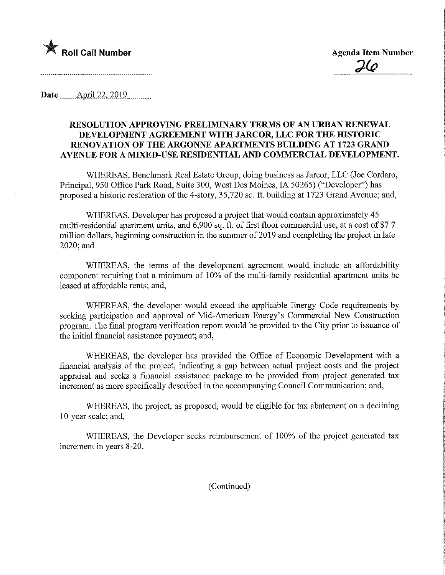

Date ........Apnl.22,.2019,

## RESOLUTION APPROVING PRELIMmARY TERMS OF AN URBAN RENEWAL DEVELOPMENT AGREEMENT WITH JARCOR, LLC FOR THE HISTORIC RENOVATION OF THE ARGONNE APARTMENTS BUILDING AT 1723 GRAND AVENUE FOR A MIXED-USE RESIDENTIAL AND COMMERCIAL DEVELOPMENT.

WHEREAS, Benchmark Real Estate Group, doing business as Jarcor, LLC (Joe Cordaro, Principal, 950 Office Park Road, Suite 300, West Des Moines, IA 50265) ("Developer") has proposed a historic restoration of the 4-story, 35,720 sq. ft. building at 1723 Grand Avenue; and,

WHEREAS, Developer has proposed a project that would contain approximately 45 multi-residential apartment units, and 6,900 sq. ft. of first floor commercial use, at a cost of \$7.7 million dollars, beginning construction in the summer of 2019 and completing the project in late 2020;and

WHEREAS, the terms of the development agreement would include an affordability component requiring that a minimum of 10% of the multi-family residential apartment units be leased at affordable rents; and,

WHEREAS, the developer would exceed the applicable Energy Code requirements by seeking participation and approval of Mid-American Energy's Commercial New Construction program. The final program verification report would be provided to the City prior to issuance of the initial financial assistance payment; and,

WHEREAS, the developer has provided the Office of Economic Development with a financial analysis of the project, indicating a gap between actual project costs and the project appraisal and seeks a financial assistance package to be provided from project generated tax increment as more specifically described in the accompanying Council Communication; and,

WHEREAS, the project, as proposed, would be eligible for tax abatement on a declining 10-year scale; and,

WHEREAS, the Developer seeks reimbursement of 100% of the project generated tax increment in years 8-20.

(Continued)